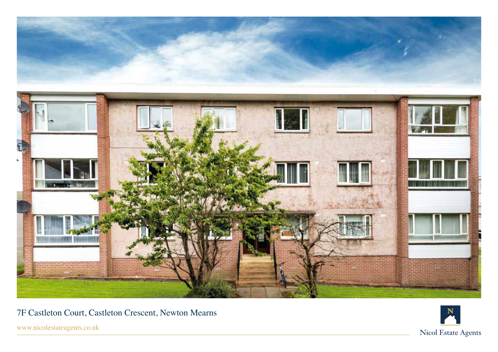

7F Castleton Court, Castleton Crescent, Newton Mearns

www.nicolestateagents.co.uk

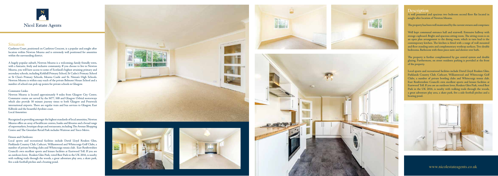

## **Situation**

A well presented and spacious two bedroom second floor flat located in sought after location of Newton Mearns.

The property has been well maintained by the current owners and comprises:

Well kept communal entrance hall and stairwell. Extensive hallway with storage cupboard. Bright and spacious sitting room. The sitting room is on an open plan arrangement to the dining room, which in turn lead to the contemporary kitchen. The kitchen is fitted with a range of wall mounted and floor standing units and complementary worktop surfaces. Two double bedrooms. Bathroom with three piece suite and shower over bath.

The property is further complimented by gas central system and double glazing. Furthermore, on street residents parking is provided at the front of the property.

Local sports and recreational facilities include David Lloyd Rouken Glen, Parklands Country Club, Cathcart, Williamwood and Whitecraigs Golf Clubs, a number of private bowling clubs and Whitecraigs tennis club. East Renfrewshire Council's own excellent sports and leisure facilities at Eastwood Toll. If you are an outdoors lover, Rouken Glen Park, voted Best Park in the UK 2016, is nearby with walking trails through the woods, a great adventure play area, a skate park, five a side football pitches and a boating pond.



Castleton Court, positioned on Castleton Crescent, is a popular and sought after location within Newton Mearns and is extremely well positioned for amenities within the surrounding district.

A hugely popular suburb, Newton Mearns is a welcoming, family friendly town, with a fantastic, lively and inclusive community. If you choose to live in Newton Mearns, you will have access to some of Scotland's highest attaining primary and secondary schools, including Kirkhill Primary School, St Cadoc's Primary School or St Clare's Primary Schools, Mearns Castle and St. Ninian's High Schools. Newton Mearns is within easy reach of the private Belmont House School and a number of school-run pick-up points for private schools in Glasgow.

#### Commuter Links:

Newton Mearns is located approximately 9 miles from Glasgow City Centre. Commuter routes are served by the M77, M8 and Glasgow Orbital motorways which also provide 30 minute journey times to both Glasgow and Prestwick international airports. There are regular train and bus services to Glasgow, East Kilbride and the beautiful Ayrshire coast. Local Amenities:

Recognised as providing amongst the highest standards of local amenities, Newton Mearns offers an array of healthcare centres, banks and libraries and a broad range of supermarkets, boutique shops and restaurants, including The Avenue Shopping Centre and The Greenlaw Retail Park includes Waitrose and Tesco Metro.

#### Fitness and Outdoors:

Local sports and recreational facilities include David Lloyd Rouken Glen, Parklands Country Club, Cathcart, Williamwood and Whitecraigs Golf Clubs, a number of private bowling clubs and Whitecraigs tennis club. East Renfrewshire Council's own excellent sports and leisure facilities at Eastwood Toll. If you are an outdoors lover, Rouken Glen Park, voted Best Park in the UK 2016, is nearby with walking trails through the woods, a great adventure play area, a skate park, five a side football pitches and a boating pond.











### **Description**

www.nicolestateagents.co.uk